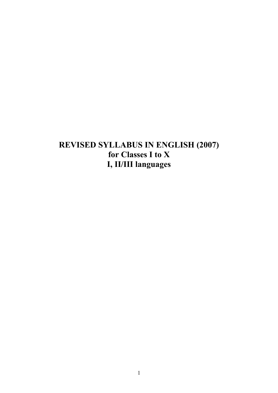# **REVISED SYLLABUS IN ENGLISH (2007) for Classes I to X I, II/III languages**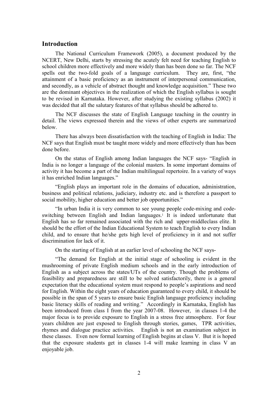## **Introduction**

The National Curriculum Framework (2005), a document produced by the NCERT, New Delhi, starts by stressing the acutely felt need for teaching English to school children more effectively and more widely than has been done so far. The NCF spells out the two-fold goals of a language curriculum. They are, first, "the attainment of a basic proficiency as an instrument of interpersonal communication, and secondly, as a vehicle of abstract thought and knowledge acquisition." These two are the dominant objectives in the realization of which the English syllabus is sought to be revised in Karnataka. However, after studying the existing syllabus (2002) it was decided that all the salutary features of that syllabus should be adhered to.

The NCF discusses the state of English Language teaching in the country in detail. The views expressed therein and the views of other experts are summarized below.

There has always been dissatisfaction with the teaching of English in India: The NCF says that English must be taught more widely and more effectively than has been done before.

On the status of English among Indian languages the NCF says- "English in India is no longer a language of the colonial masters. In some important domains of activity it has become a part of the Indian multilingual repertoire. In a variety of ways it has enriched Indian languages."

"English plays an important role in the domains of education, administration, business and political relations, judiciary, industry etc. and is therefore a passport to social mobility, higher education and better job opportunities."

"In urban India it is very common to see young people code-mixing and codeswitching between English and Indian languages.<sup>1</sup> It is indeed unfortunate that English has so far remained associated with the rich and upper-middleclass elite. It should be the effort of the Indian Educational System to teach English to every Indian child, and to ensure that he/she gets high level of proficiency in it and not suffer discrimination for lack of it.

On the starting of English at an earlier level of schooling the NCF says-

"The demand for English at the initial stage of schooling is evident in the mushrooming of private English medium schools and in the early introduction of English as a subject across the states/UTs of the country. Though the problems of feasibility and preparedness are still to be solved satisfactorily, there is a general expectation that the educational system must respond to people's aspirations and need for English. Within the eight years of education guaranteed to every child, it should be possible in the span of 5 years to ensure basic English language proficiency including basic literacy skills of reading and writing." Accordingly in Karnataka, English has been introduced from class I from the year 2007-08. However, in classes 1-4 the major focus is to provide exposure to English in a stress free atmosphere. For four years children are just exposed to English through stories, games, TPR activities, rhymes and dialogue practice activities. English is not an examination subject in these classes. Even now formal learning of English begins at class V. But it is hoped that the exposure students get in classes 1-4 will make learning in class V an enjoyable job.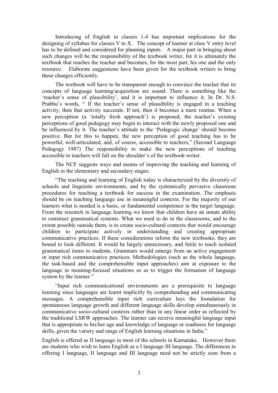Introducing of English in classes 1-4 has important implications for the designing of syllabus for classes V to X. The concept of learner at class V entry level has to be defined and considered for planning inputs. A major part in bringing about such changes will be the responsibility of the textbook writer, for it is ultimately the textbook that reaches the teacher and becomes, for the most part, his one and the only resource. Elaborate suggestions have been given for the textbook writers to bring these changes efficiently.

The textbook will have to be transparent enough to convince the teacher that its concepts of language learning/acquisition are sound. There is something like the 'teacher's sense of plausibility', and it is important to influence it. In Dr. N.S. Prabhu's words, " If the teacher's sense of plausibility is engaged in a teaching activity, then that activity succeeds. If not, then it becomes a mere routine. When a new perception (a 'totally fresh approach') is proposed, the teacher's existing perceptions of good pedagogy may begin to interact with the newly proposed one and be influenced by it. The teacher's attitude to the 'Pedagogic change' should become positive. But for this to happen, the new perception of good teaching has to be powerful, well-articulated, and, of course, accessible to teachers," (Second Language Pedagogy 1987) The responsibility to make the new perceptions of teaching accessible to teachers will fall on the shoulder's of the textbook-writer.

The NCF suggests ways and means of improving the teaching and learning of English in the elementary and secondary stages:

"The teaching and learning of English today is characterized by the diversity of schools and linguistic environments, and by the systemically pervasive classroom procedures for teaching a textbook for success in the examination. The emphasis should be on teaching language use in meaningful contexts. For the majority of our learners what is needed is a basic, or fundamental competence in the target language. From the research in language learning we know that children have an innate ability to construct grammatical systems. What we need to do in the classrooms, and to the extent possible outside them, is to create socio-cultural contexts that would encourage children to participate actively in understanding and creating appropriate communicative practices. If these considerations inform the new textbooks, they are bound to look different. It would be largely unnecessary, and futile to teach isolated grammatical items to students. Grammars would emerge from an active engagement in input rich communicative practices. Methodologies (such as the whole language, the task-based and the comprehensible input approaches) aim at exposure to the language in meaning-focused situations so as to trigger the formation of language system by the learner."

"Input rich communicational environments are a prerequisite to language learning since languages are learnt implicitly by comprehending and communicating messages. A comprehensible input rich curriculum lays the foundation for spontaneous language growth and different language skills develop simultaneously in communicative socio-cultural contexts rather than in any linear order as reflected by the traditional LSRW approaches. The learner can receive meaningful language input that is appropriate to his/her age and knowledge of language or readiness for language skills, given the variety and range of English learning situations in India."

English is offered as II language in most of the schools in Karnataka. However there are students who wish to learn English as a I language III language. The differences in offering I language, II language and III language need not be strictly seen from a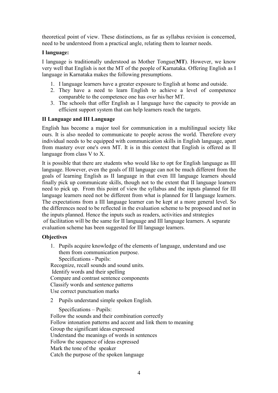theoretical point of view. These distinctions, as far as syllabus revision is concerned, need to be understood from a practical angle, relating them to learner needs.

### **I language:**

I language is traditionally understood as Mother Tongue(**MT**). However, we know very well that English is not the MT of the people of Karnataka. Offering English as I language in Karnataka makes the following presumptions.

- 1. I language learners have a greater exposure to English at home and outside.
- 2. They have a need to learn English to achieve a level of competence comparable to the competence one has over his/her MT.
- 3. The schools that offer English as I language have the capacity to provide an efficient support system that can help learners reach the targets.

### **II Language and III Language**

English has become a major tool for communication in a multilingual society like ours. It is also needed to communicate to people across the world. Therefore every individual needs to be equipped with communication skills in English language, apart from mastery over one's own MT. It is in this context that English is offered as II language from class V to X.

It is possible that there are students who would like to opt for English language as III language. However, even the goals of III language can not be much different from the goals of learning English as II language in that even III language learners should finally pick up communicate skills, though not to the extent that II language learners need to pick up. From this point of view the syllabus and the inputs planned for III language learners need not be different from what is planned for II language learners. The expectations from a III language learner can be kept at a more general level. So the differences need to be reflected in the evaluation scheme to be proposed and not in the inputs planned. Hence the inputs such as readers, activities and strategies of facilitation will be the same for II language and III language learners. A separate evaluation scheme has been suggested for III language learners.

## **Objectives**

1. Pupils acquire knowledge of the elements of language, understand and use them from communication purpose. Specifications - Pupils: Recognize, recall sounds and sound units. Identify words and their spelling Compare and contrast sentence components

Classify words and sentence patterns

Use correct punctuation marks

2 Pupils understand simple spoken English.

Specifications – Pupils: Follow the sounds and their combination correctly Follow intonation patterns and accent and link them to meaning Group the significant ideas expressed Understand the meanings of words in sentences Follow the sequence of ideas expressed Mark the tone of the speaker Catch the purpose of the spoken language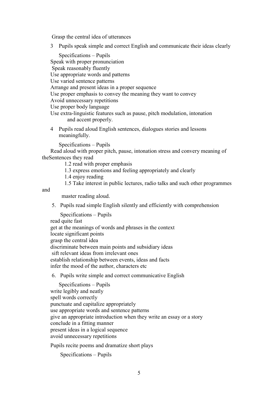Grasp the central idea of utterances

3 Pupils speak simple and correct English and communicate their ideas clearly

Specifications – Pupils Speak with proper pronunciation Speak reasonably fluently Use appropriate words and patterns Use varied sentence patterns Arrange and present ideas in a proper sequence Use proper emphasis to convey the meaning they want to convey Avoid unnecessary repetitions Use proper body language Use extra-linguistic features such as pause, pitch modulation, intonation and accent properly.

4 Pupils read aloud English sentences, dialogues stories and lessons meaningfully.

Specifications – Pupils

Read aloud with proper pitch, pause, intonation stress and convery meaning of theSentences they read

1.2 read with proper emphasis

1.3 express emotions and feeling appropriately and clearly

1.4 enjoy reading

1.5 Take interest in public lectures, radio talks and such other programmes

and

master reading aloud.

5. Pupils read simple English silently and efficiently with comprehension

Specifications – Pupils read quite fast get at the meanings of words and phrases in the context locate significant points grasp the central idea discriminate between main points and subsidiary ideas sift relevant ideas from irrelevant ones establish relationship between events, ideas and facts infer the mood of the author, characters etc

### 6. Pupils write simple and correct communicative English

 Specifications – Pupils write legibly and neatly spell words correctly punctuate and capitalize appropriately use appropriate words and sentence patterns give an appropriate introduction when they write an essay or a story conclude in a fitting manner present ideas in a logical sequence avoid unnecessary repetitions

Pupils recite poems and dramatize short plays

Specifications – Pupils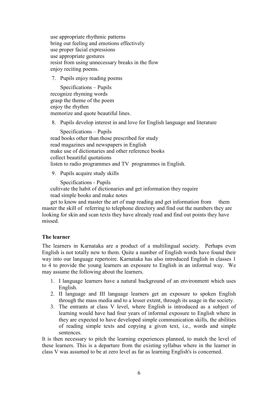use appropriate rhythmic patterns bring out feeling and emotions effectively use proper facial expressions use appropriate gestures resist from using unnecessary breaks in the flow enjoy reciting poems.

7. Pupils enjoy reading poems

Specifications – Pupils recognize rhyming words grasp the theme of the poem enjoy the rhythm memorize and quote beautiful lines.

8. Pupils develop interest in and love for English language and literature

Specifications – Pupils read books other than those prescribed for study read magazines and newspapers in English make use of dictionaries and other reference books collect beautiful quotations listen to radio programmes and TV programmes in English.

9. Pupils acquire study skills

Specifications - Pupils cultivate the habit of dictionaries and get information they require read simple books and make notes

get to know and master the art of map reading and get information from them master the skill of referring to telephone directory and find out the numbers they are looking for skin and scan texts they have already read and find out points they have missed.

## **The learner**

The learners in Karnataka are a product of a multilingual society. Perhaps even English is not totally new to them. Quite a number of English words have found their way into our language repertoire. Karnataka has also introduced English in classes 1 to 4 to provide the young learners an exposure to English in an informal way. We may assume the following about the learners.

- 1. I language learners have a natural background of an environment which uses English.
- 2. II language and III language learners get an exposure to spoken English through the mass media and to a lesser extent, through its usage in the society.
- 3. The entrants at class V level, where English is introduced as a subject of learning would have had four years of informal exposure to English where in they are expected to have developed simple communication skills, the abilities of reading simple texts and copying a given text, i.e., words and simple sentences.

It is then necessary to pitch the learning experiences planned, to match the level of these learners. This is a departure from the existing syllabus where in the learner in class V was assumed to be at zero level as far as learning English's is concerned.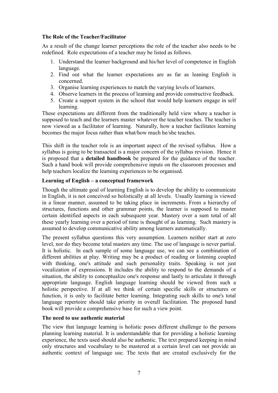## **The Role of the Teacher/Facilitator**

As a result of the change learner perceptions the role of the teacher also needs to be redefined. Role expectations of a teacher may be listed as follows.

- 1. Understand the learner background and his/her level of competence in English language.
- 2. Find out what the learner expectations are as far as leaning English is concerned.
- 3. Organise learning experiences to match the varying levels of learners.
- 4. Observe learners in the process of learning and provide constructive feedback.
- 5. Create a support system in the school that would help learners engage in self learning.

These expectations are different from the traditionally held view where a teacher is supposed to teach and the learners master whatever the teacher teaches. The teacher is now viewed as a facilitator of learning. Naturally, how a teacher facilitates learning becomes the major focus rather than what/how much he/she teaches.

This shift in the teacher role is an important aspect of the revised syllabus. How a syllabus is going to be transacted is a major concern of the syllabus revision. Hence it is proposed that a **detailed handbook** be prepared for the guidance of the teacher. Such a hand book will provide comprehensive inputs on the classroom processes and help teachers localize the learning experiences to be organised.

### **Learning of English – a conceptual framework**

Though the ultimate goal of learning English is to develop the ability to communicate in English, it is not conceived so holistically at all levels. Usually learning is viewed in a linear manner, assumed to be taking place in increments. From a hierarchy of structures, functions and other grammar points, the learner is supposed to master certain identified aspects in each subsequent year. Mastery over a sum total of all these yearly learning over a period of time is thought of as learning. Such mastery is assumed to develop communicative ability among learners automatically.

The present syllabus questions this very assumption. Learners neither start at zero level, nor do they become total masters any time. The use of language is never partial. It is holistic. In each sample of some language use, we can see a combination of different abilities at play. Writing may be a product of reading or listening coupled with thinking, one's attitude and such personality traits. Speaking is not just vocalization of expressions. It includes the ability to respond to the demands of a situation, the ability to conceptualize one's response and lastly to articulate it through appropriate language. English language learning should be viewed from such a holistic perspective. If at all we think of certain specific skills or structures or function, it is only to facilitate better learning. Integrating such skills to one's total language repertoire should take priority in overall facilitation. The proposed hand book will provide a comprehensive base for such a view point.

### **The need to use authentic material**

The view that language learning is holistic poses different challenge to the persons planning learning material. It is understandable that for providing a holistic learning experience, the texts used should also be authentic. The text prepared keeping in mind only structures and vocabulary to be mastered at a certain level can not provide an authentic context of language use. The texts that are created exclusively for the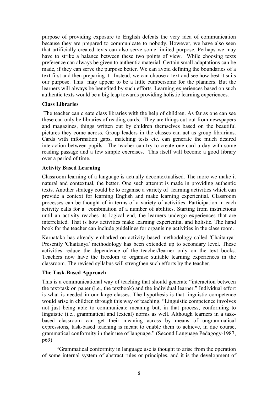purpose of providing exposure to English defeats the very idea of communication because they are prepared to communicate to nobody. However, we have also seen that artificially created texts can also serve some limited purpose. Perhaps we may have to strike a balance between these two points of view. While choosing texts preference can always be given to authentic material. Certain small adaptations can be made, if they can serve the purpose better. We can avoid defining the boundaries of a text first and then preparing it. Instead, we can choose a text and see how best it suits our purpose. This may appear to be a little cumbersome for the planners. But the learners will always be benefited by such efforts. Learning experiences based on such authentic texts would be a big leap towards providing holistic learning experiences.

### **Class Libraries**

 The teacher can create class libraries with the help of children. As far as one can see these can only be libraries of reading cards. They are things cut out from newspapers and magazines, things written out by children themselves based on the beautiful pictures they come across. Group leaders in the classes can act as group librarians. Cards with information gaps, matching tests etc. can generate the much desired interaction between pupils. The teacher can try to create one card a day with some reading passage and a few simple exercises. This itself will become a good library over a period of time.

## **Activity Based Learning**

Classroom learning of a language is actually decontextualised. The more we make it natural and contextual, the better. One such attempt is made in providing authentic texts. Another strategy could be to organise a variety of learning activities which can provide a context for learning English and make learning experiential. Classroom processes can be thought of in terms of a variety of activities. Participation in each activity calls for a combination of a number of abilities. Starting from instructions until an activity reaches its logical end, the learners undergo experiences that are interrelated. That is how activities make learning experiential and holistic. The hand book for the teacher can include guidelines for organising activities in the class room.

Karnataka has already embarked on activity based methodology called 'Chaitanya'. Presently 'Chaitanya' methodology has been extended up to secondary level. These activities reduce the dependence of the teacher/learner only on the text books. Teachers now have the freedom to organise suitable learning experiences in the classroom. The revised syllabus will strengthen such efforts by the teacher.

## **The Task-Based Approach**

This is a communicational way of teaching that should generate "interaction between the text/task on paper (i.e., the textbook) and the individual learner." Individual effort is what is needed in our large classes. The hypothesis is that linguistic competence would arise in children through this way of teaching. "Linguistic competence involves not just being able to communicate meaning but, in that process, conforming to linguistic (i.e., grammatical and lexical) norms as well. Although learners in a taskbased classroom can get their meaning across by means of ungrammatical expressions, task-based teaching is meant to enable them to achieve, in due course, grammatical conformity in their use of language." (Second Language Pedagogy-1987, p69)

 "Grammatical conformity in language use is thought to arise from the operation of some internal system of abstract rules or principles, and it is the development of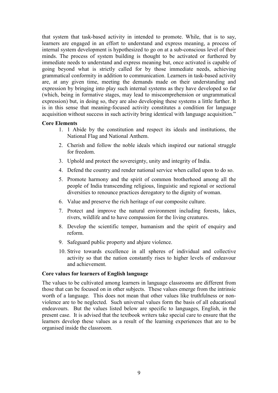that system that task-based activity in intended to promote. While, that is to say, learners are engaged in an effort to understand and express meaning, a process of internal system development is hypothesized to go on at a sub-conscious level of their minds. The process of system building is thought to be activated or furthered by immediate needs to understand and express meaning but, once activated is capable of going beyond what is strictly called for by those immediate needs, achieving grammatical conformity in addition to communication. Learners in task-based activity are, at any given time, meeting the demands made on their understanding and expression by bringing into play such internal systems as they have developed so far (which, being in formative stages, may lead to miscomprehension or ungrammatical expression) but, in doing so, they are also developing these systems a little further. It is in this sense that meaning-focused activity constitutes a condition for language acquisition without success in such activity bring identical with language acquisition."

### **Core Elements**

- 1. 1 Abide by the constitution and respect its ideals and institutions, the National Flag and National Anthem.
- 2. Cherish and follow the noble ideals which inspired our national struggle for freedom.
- 3. Uphold and protect the sovereignty, unity and integrity of India.
- 4. Defend the country and render national service when called upon to do so.
- 5. Promote harmony and the spirit of common brotherhood among all the people of India transcending religious, linguistic and regional or sectional diversities to renounce practices derogatory to the dignity of woman.
- 6. Value and preserve the rich heritage of our composite culture.
- 7. Protect and improve the natural environment including forests, lakes, rivers, wildlife and to have compassion for the living creatures.
- 8. Develop the scientific temper, humanism and the spirit of enquiry and reform.
- 9. Safeguard public property and abjure violence.
- 10. Strive towards excellence in all spheres of individual and collective activity so that the nation constantly rises to higher levels of endeavour and achievement.

#### **Core values for learners of English language**

The values to be cultivated among learners in language classrooms are different from those that can be focused on in other subjects. These values emerge from the intrinsic worth of a language. This does not mean that other values like truthfulness or nonviolence are to be neglected. Such universal values form the basis of all educational endeavours. But the values listed below are specific to languages, English, in the present case. It is advised that the textbook writers take special care to ensure that the learners develop these values as a result of the learning experiences that are to be organised inside the classroom.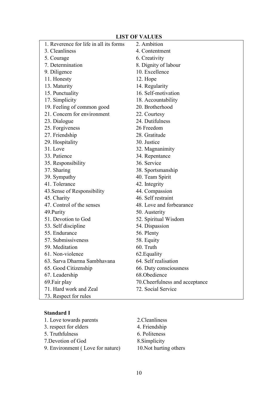## **LIST OF VALUES**

|                                        | <b>DIDI OF TIPLED</b>           |
|----------------------------------------|---------------------------------|
| 1. Reverence for life in all its forms | 2. Ambition                     |
| 3. Cleanliness                         | 4. Contentment                  |
| 5. Courage                             | 6. Creativity                   |
| 7. Determination                       | 8. Dignity of labour            |
| 9. Diligence                           | 10. Excellence                  |
| 11. Honesty                            | 12. Hope                        |
| 13. Maturity                           | 14. Regularity                  |
| 15. Punctuality                        | 16. Self-motivation             |
| 17. Simplicity                         | 18. Accountability              |
| 19. Feeling of common good             | 20. Brotherhood                 |
| 21. Concern for environment            | 22. Courtesy                    |
| 23. Dialogue                           | 24. Dutifulness                 |
| 25. Forgiveness                        | 26 Freedom                      |
| 27. Friendship                         | 28. Gratitude                   |
| 29. Hospitality                        | 30. Justice                     |
| 31. Love                               | 32. Magnanimity                 |
| 33. Patience                           | 34. Repentance                  |
| 35. Responsibility                     | 36. Service                     |
| 37. Sharing                            | 38. Sportsmanship               |
| 39. Sympathy                           | 40. Team Spirit                 |
| 41. Tolerance                          | 42. Integrity                   |
| 43. Sense of Responsibility            | 44. Compassion                  |
| 45. Charity                            | 46. Self restraint              |
| 47. Control of the senses              | 48. Love and forbearance        |
| 49. Purity                             | 50. Austerity                   |
| 51. Devotion to God                    | 52. Spiritual Wisdom            |
| 53. Self discipline                    | 54. Dispassion                  |
| 55. Endurance                          | 56. Plenty                      |
| 57. Submissiveness                     | 58. Equity                      |
| 59. Meditation                         | 60. Truth                       |
| 61. Non-violence                       | 62. Equality                    |
| 63. Sarva Dharma Sambhavana            | 64. Self realisation            |
| 65. Good Citizenship                   | 66. Duty consciousness          |
| 67. Leadership                         | 68.Obedience                    |
| 69. Fair play                          | 70. Cheerfulness and acceptance |
| 71. Hard work and Zeal                 | 72. Social Service              |
| 73. Respect for rules                  |                                 |

## **Standard I**

| 1. Love towards parents          | 2. Cleanliness         |
|----------------------------------|------------------------|
| 3. respect for elders            | 4. Friendship          |
| 5. Truthfulness                  | 6. Politeness          |
| 7. Devotion of God               | 8. Simplicity          |
| 9. Environment (Love for nature) | 10. Not hurting others |
|                                  |                        |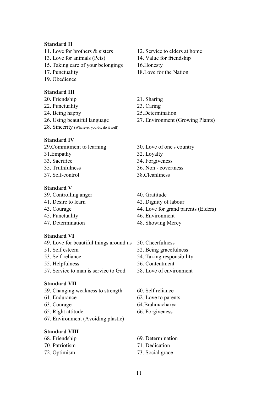#### **Standard II**

- 
- 13. Love for animals (Pets) 14. Value for friendship
- 15. Taking care of your belongings 16.Honesty
- 
- 19. Obedience

#### **Standard III**

- 20. Friendship 21. Sharing
- 22. Punctuality 23. Caring
- 24. Being happy 25.Determination
- 
- 28. Sincerity (Whatever you do, do it well)

#### **Standard IV**

- 29.Commitment to learning 30. Love of one's country
- 31.Empathy 32. Loyalty
- 
- 
- 

### **Standard V**

- 39. Controlling anger 40. Gratitude
- 
- 
- 
- 

#### **Standard VI**

- 49. Love for beautiful things around us 50. Cheerfulness
- 
- 
- 
- 57. Service to man is service to God 58. Love of environment

### **Standard VII**

- 59. Changing weakness to strength 60. Self reliance
- 
- 
- 65. Right attitude 66. Forgiveness
- 67. Environment (Avoiding plastic)

### **Standard VIII**

- 
- 
- 
- 11. Love for brothers & sisters 12. Service to elders at home
	-
	-
- 17. Punctuality 18.Love for the Nation
	-
	-
	-
- 26. Using beautiful language 27. Environment (Growing Plants)
	-
	-
- 33. Sacrifice 34. Forgiveness
- 35. Truthfulness 36. Non covertness
- 37. Self-control 38.Cleanliness
	-
- 41. Desire to learn 42. Dignity of labour
- 43. Courage 44. Love for grand parents (Elders)
- 45. Punctuality 46. Environment
- 47. Determination 48. Showing Mercy
	-
- 51. Self esteem 52. Being gracefulness
- 53. Self-reliance 54. Taking responsibility
- 55. Helpfulness 56. Contentment
	-
	-
- 61. Endurance 62. Love to parents
- 63. Courage 64.Brahmacharya
	-
- 68. Friendship 69. Determination
- 70. Patriotism 71. Dedication
- 72. Optimism 73. Social grace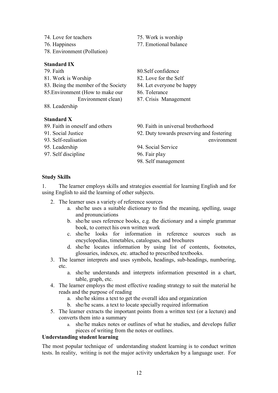- 74. Love for teachers 75. Work is worship
- 
- 78. Environment (Pollution)

## **Standard IX**

- 
- 
- 83. Being the member of the Society 84. Let everyone be happy
- 85. Environment (How to make our 86. Tolerance
- 88. Leadership

## **Standard X**

- 
- 
- 
- 
- 97. Self discipline 96. Fair play
- 
- 76. Happiness 77. Emotional balance
- 79. Faith 80.Self confidence
- 81. Work is Worship 82. Love for the Self
	-
	-
	- Environment clean) 87. Crisis Management
- 89. Faith in oneself and others 90. Faith in universal brotherhood
- 91. Social Justice 92. Duty towards preserving and fostering 93. Self-realisation environment
- 95. Leadership 94. Social Service
	-
	- 98. Self management

## **Study Skills**

1. The learner employs skills and strategies essential for learning English and for using English to aid the learning of other subjects.

- 2. The learner uses a variety of reference sources
	- a. she/he uses a suitable dictionary to find the meaning, spelling, usage and pronunciations
	- b. she/he uses reference books, e.g. the dictionary and a simple grammar book, to correct his own written work
	- c. she/he looks for information in reference sources such as encyclopedias, timetables, catalogues, and brochures
	- d. she/he locates information by using list of contents, footnotes, glossaries, indexes, etc. attached to prescribed textbooks.
- 3. The learner interprets and uses symbols, headings, sub-headings, numbering, etc.
	- a. she/he understands and interprets information presented in a chart, table, graph, etc.
- 4. The learner employs the most effective reading strategy to suit the material he reads and the purpose of reading
	- a. she/he skims a text to get the overall idea and organization
	- b. she/he scans. a text to locate specially required information
- 5. The learner extracts the important points from a written text (or a lecture) and converts them into a summary
	- a. she/he makes notes or outlines of what he studies, and develops fuller pieces of writing from the notes or outlines.

## **Understanding student learning**

The most popular technique of understanding student learning is to conduct written tests. In reality, writing is not the major activity undertaken by a language user. For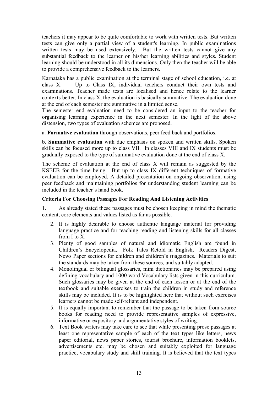teachers it may appear to be quite comfortable to work with written tests. But written tests can give only a partial view of a student's learning. In public examinations written tests may be used extensively. But the written tests cannot give any substantial feedback to the learner on his/her learning abilities and styles. Student learning should be understood in all its dimensions. Only then the teacher will be able to provide a comprehensive feedback to the learners.

Karnataka has a public examination at the terminal stage of school education, i.e. at class X. Up to Class IX, individual teachers conduct their own tests and examinations. Teacher made tests are localised and hence relate to the learner contexts better. In class X, the evaluation is basically summative. The evaluation done at the end of each semester are summative in a limited sense.

The semester end evaluation need to be considered an input to the teacher for organising learning experience in the next semester. In the light of the above distension, two types of evaluation schemes are proposed.

a. **Formative evaluation** through observations, peer feed back and portfolios.

b. **Summative evaluation** with due emphasis on spoken and written skills. Spoken skills can be focused more up to class VII. In classes VIII and IX students must be gradually exposed to the type of summative evaluation done at the end of class X.

The scheme of evaluation at the end of class X will remain as suggested by the KSEEB for the time being. But up to class IX different techniques of formative evaluation can be employed. A detailed presentation on ongoing observation, using peer feedback and maintaining portfolios for understanding student learning can be included in the teacher's hand book.

## **Criteria For Choosing Passages For Reading And Listening Activities**

1. As already stated these passages must be chosen keeping in mind the thematic content, core elements and values listed as far as possible.

- 2. It is highly desirable to choose authentic language material for providing language practice and for teaching reading and listening skills for all classes from I to X.
- 3. Plenty of good samples of natural and idiomatic English are found in Children's Encyclopedia, Folk Tales Retold in English, Readers Digest, News Paper sections for children and children's magazines. Materials to suit the standards may be taken from these sources, and suitably adapted.
- 4. Monolingual or bilingual glossaries, mini dictionaries may be prepared using defining vocabulary and 1000 word Vocabulary lists given in this curriculum. Such glossaries may be given at the end of each lesson or at the end of the textbook and suitable exercises to train the children in study and reference skills may be included. It is to be highlighted here that without such exercises learners cannot be made self-reliant and independent.
- 5. It is equally important to remember that the passage to be taken from source books for reading need to provide representative samples of expressive, informative or expository and argumentative styles of writing.
- 6. Text Book writers may take care to see that while presenting prose passages at least one representative sample of each of the text types like letters, news paper editorial, news paper stories, tourist brochure, information booklets, advertisements etc. may be chosen and suitably exploited for language practice, vocabulary study and skill training. It is believed that the text types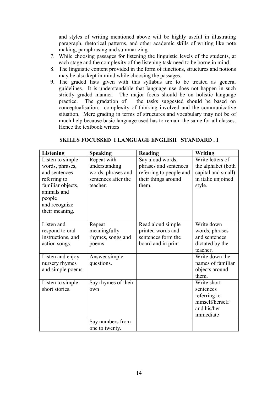and styles of writing mentioned above will be highly useful in illustrating paragraph, rhetorical patterns, and other academic skills of writing like note making, paraphrasing and summarizing.

- 7. While choosing passages for listening the linguistic levels of the students, at each stage and the complexity of the listening task need to be borne in mind.
- 8. The linguistic content provided in the form of functions, structures and notions may be also kept in mind while choosing the passages.
- **9.** The graded lists given with this syllabus are to be treated as general guidelines. It is understandable that language use does not happen in such strictly graded manner. The major focus should be on holistic language practice. The gradation of the tasks suggested should be based on conceptualisation, complexity of thinking involved and the communicative situation. Mere grading in terms of structures and vocabulary may not be of much help because basic language used has to remain the same for all classes. Hence the textbook writers

| <b>Listening</b>  | <b>Speaking</b>     | Reading                 | <b>Writing</b>     |
|-------------------|---------------------|-------------------------|--------------------|
| Listen to simple  | Repeat with         | Say aloud words,        | Write letters of   |
| words, phrases,   | understanding       | phrases and sentences   | the alphabet (both |
| and sentences     | words, phrases and  | referring to people and | capital and small) |
| referring to      | sentences after the | their things around     | in italic unjoined |
| familiar objects, | teacher.            | them.                   | style.             |
| animals and       |                     |                         |                    |
| people            |                     |                         |                    |
| and recognize     |                     |                         |                    |
| their meaning.    |                     |                         |                    |
|                   |                     |                         |                    |
| Listen and        | Repeat              | Read aloud simple       | Write down         |
| respond to oral   | meaningfully        | printed words and       | words, phrases     |
| instructions, and | rhymes, songs and   | sentences form the      | and sentences      |
| action songs.     | poems               | board and in print      | dictated by the    |
|                   |                     |                         | teacher.           |
| Listen and enjoy  | Answer simple       |                         | Write down the     |
| nursery rhymes    | questions.          |                         | names of familiar  |
| and simple poems  |                     |                         | objects around     |
|                   |                     |                         | them.              |
| Listen to simple  | Say rhymes of their |                         | Write short        |
| short stories.    | own                 |                         | sentences          |
|                   |                     |                         | referring to       |
|                   |                     |                         | himself/herself    |
|                   |                     |                         | and his/her        |
|                   |                     |                         | immediate          |
|                   | Say numbers from    |                         |                    |
|                   | one to twenty.      |                         |                    |

## **SKILLS FOCUSSED I LANGUAGE ENGLISH STANDARD . I**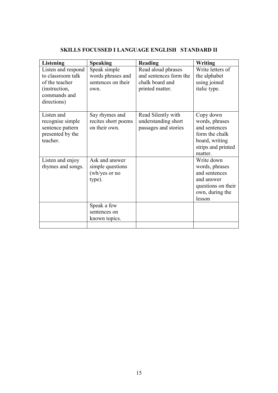| Listening                                                                          | <b>Speaking</b>                                               | <b>Reading</b>                                                    | Writing                                                                                                           |
|------------------------------------------------------------------------------------|---------------------------------------------------------------|-------------------------------------------------------------------|-------------------------------------------------------------------------------------------------------------------|
| Listen and respond<br>to classroom talk<br>of the teacher                          | Speak simple<br>words phrases and<br>sentences on their       | Read aloud phrases<br>and sentences form the<br>chalk board and   | Write letters of<br>the alphabet<br>using joined                                                                  |
| (instruction,<br>commands and<br>directions)                                       | own.                                                          | printed matter.                                                   | italic type.                                                                                                      |
| Listen and<br>recognise simple<br>sentence pattern<br>presented by the<br>teacher. | Say rhymes and<br>recites short poems<br>on their own.        | Read Silently with<br>understanding short<br>passages and stories | Copy down<br>words, phrases<br>and sentences<br>form the chalk<br>board, writing<br>strips and printed<br>matter. |
| Listen and enjoy<br>rhymes and songs.                                              | Ask and answer<br>simple questions<br>(wh/yes or no<br>type). |                                                                   | Write down<br>words, phrases<br>and sentences<br>and answer<br>questions on their<br>own, during the<br>lesson    |
|                                                                                    | Speak a few<br>sentences on<br>known topics.                  |                                                                   |                                                                                                                   |
|                                                                                    |                                                               |                                                                   |                                                                                                                   |

## **SKILLS FOCUSSED I LANGUAGE ENGLISH STANDARD II**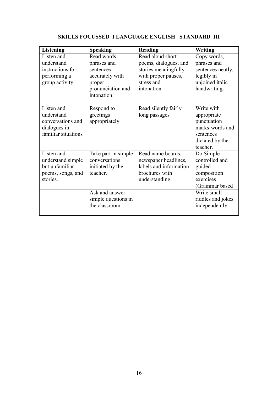| <b>Speaking</b>                                                                                                                 | Reading                                                                                                               | <b>Writing</b>                                                                                                                            |
|---------------------------------------------------------------------------------------------------------------------------------|-----------------------------------------------------------------------------------------------------------------------|-------------------------------------------------------------------------------------------------------------------------------------------|
| Read words,<br>phrases and<br>sentences<br>accurately with<br>proper<br>pronunciation and<br>intonation.                        | Read aloud short<br>poems, dialogues, and<br>stories meaningfully<br>with proper pauses,<br>stress and<br>intonation. | Copy words,<br>phrases and<br>sentences neatly,<br>legibly in<br>unjoined italic<br>handwriting.                                          |
| Respond to<br>greetings<br>appropriately.                                                                                       | Read silently fairly<br>long passages                                                                                 | Write with<br>appropriate<br>punctuation<br>marks-words and<br>sentences<br>dictated by the<br>teacher.                                   |
| Take part in simple<br>conversations<br>initiated by the<br>teacher.<br>Ask and answer<br>simple questions in<br>the classroom. | Read name boards,<br>newspaper headlines,<br>labels and information<br>brochures with<br>understanding.               | Do Simple<br>controlled and<br>guided<br>composition<br>exercises<br>(Grammar based<br>Write small<br>riddles and jokes<br>independently. |
|                                                                                                                                 |                                                                                                                       |                                                                                                                                           |

## **SKILLS FOCUSSED I LANGUAGE ENGLISH STANDARD III**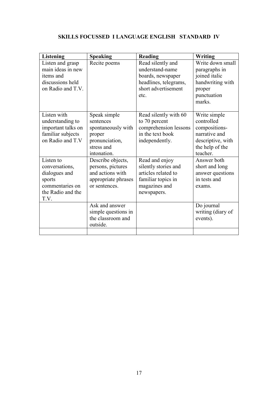## **SKILLS FOCUSSED I LANGUAGE ENGLISH STANDARD IV**

| <b>Listening</b>                                                                                       | <b>Speaking</b>                                                                                          | <b>Reading</b>                                                                                                      | <b>Writing</b>                                                                                                   |
|--------------------------------------------------------------------------------------------------------|----------------------------------------------------------------------------------------------------------|---------------------------------------------------------------------------------------------------------------------|------------------------------------------------------------------------------------------------------------------|
| Listen and grasp<br>main ideas in new<br>items and<br>discussions held<br>on Radio and T.V.            | Recite poems                                                                                             | Read silently and<br>understand-name<br>boards, newspaper<br>headlines, telegrams,<br>short advertisement<br>etc.   | Write down small<br>paragraphs in<br>joined italic<br>handwriting with<br>proper<br>punctuation<br>marks.        |
| Listen with<br>understanding to<br>important talks on<br>familiar subjects<br>on Radio and T.V         | Speak simple<br>sentences<br>spontaneously with<br>proper<br>pronunciation,<br>stress and<br>intonation. | Read silently with 60<br>to 70 percent<br>comprehension lessons<br>in the text book<br>independently.               | Write simple<br>controlled<br>compositions-<br>narrative and<br>descriptive, with<br>the help of the<br>teacher. |
| Listen to<br>conversations,<br>dialogues and<br>sports<br>commentaries on<br>the Radio and the<br>T.V. | Describe objects,<br>persons, pictures<br>and actions with<br>appropriate phrases<br>or sentences.       | Read and enjoy<br>silently stories and<br>articles related to<br>familiar topics in<br>magazines and<br>newspapers. | Answer both<br>short and long<br>answer questions<br>in tests and<br>exams.                                      |
|                                                                                                        | Ask and answer<br>simple questions in<br>the classroom and<br>outside.                                   |                                                                                                                     | Do journal<br>writing (diary of<br>events).                                                                      |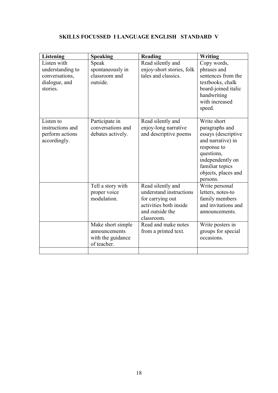## **SKILLS FOCUSSED I LANGUAGE ENGLISH STANDARD V**

| <b>Listening</b>                | <b>Speaking</b>   | Reading                   | Writing                                  |
|---------------------------------|-------------------|---------------------------|------------------------------------------|
| Listen with                     | Speak             | Read silently and         | Copy words,                              |
| understanding to                | spontaneously in  | enjoy-short stories, folk | phrases and                              |
| conversations,                  | classroom and     | tales and classics.       | sentences from the                       |
| dialogue, and                   | outside.          |                           | textbooks, chalk                         |
| stories.                        |                   |                           | board-joined italic                      |
|                                 |                   |                           | handwriting                              |
|                                 |                   |                           | with increased                           |
|                                 |                   |                           | speed.                                   |
|                                 |                   |                           | Write short                              |
| Listen to                       | Participate in    | Read silently and         |                                          |
| instructions and                | conversations and | enjoy-long narrative      | paragraphs and                           |
| perform actions<br>accordingly. | debates actively. | and descriptive poems     | essays (descriptive<br>and narrative) in |
|                                 |                   |                           | response to                              |
|                                 |                   |                           | questions,                               |
|                                 |                   |                           | independently on                         |
|                                 |                   |                           | familiar topics                          |
|                                 |                   |                           | objects, places and                      |
|                                 |                   |                           | persons.                                 |
|                                 | Tell a story with | Read silently and         | Write personal                           |
|                                 | proper voice      | understand instructions   | letters, notes-to                        |
|                                 | modulation.       | for carrying out          | family members                           |
|                                 |                   | activities both inside    | and invitations and                      |
|                                 |                   | and outside the           | announcements.                           |
|                                 |                   | classroom.                |                                          |
|                                 | Make short simple | Read and make notes       | Write posters in                         |
|                                 | announcements     | from a printed text.      | groups for special                       |
|                                 | with the guidance |                           | occasions.                               |
|                                 | of teacher.       |                           |                                          |
|                                 |                   |                           |                                          |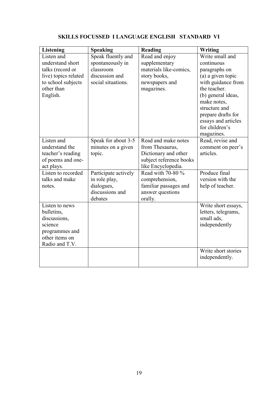| <b>Listening</b>                 | <b>Speaking</b>      | Reading                 | Writing             |
|----------------------------------|----------------------|-------------------------|---------------------|
| Listen and                       | Speak fluently and   | Read and enjoy          | Write small and     |
| understand short                 | spontaneously in     | supplementary           | continuous          |
| talks (record or                 | classroom            | materials like-comics,  | paragraphs on       |
| live) topics related             | discussion and       | story books,            | (a) a given topic   |
| to school subjects               | social situations.   | newspapers and          | with guidance from  |
| other than                       |                      | magazines.              | the teacher.        |
| English.                         |                      |                         | (b) general ideas,  |
|                                  |                      |                         | make notes,         |
|                                  |                      |                         | structure and       |
|                                  |                      |                         | prepare drafts for  |
|                                  |                      |                         | essays and articles |
|                                  |                      |                         | for children's      |
|                                  |                      |                         | magazines.          |
| Listen and                       | Speak for about 3-5  | Read and make notes     | Read, revise and    |
| understand the                   | minutes on a given   | from Thesaurus,         | comment on peer's   |
| teacher's reading                | topic.               | Dictionary and other    | articles.           |
| of poems and one-                |                      | subject reference books |                     |
| act plays.                       |                      | like Encyclopedia.      |                     |
| Listen to recorded               | Participate actively | Read with 70-80 %       | Produce final       |
| talks and make                   | in role play,        | comprehension,          | version with the    |
| notes.                           | dialogues,           | familiar passages and   | help of teacher.    |
|                                  | discussions and      | answer questions        |                     |
|                                  | debates              | orally.                 |                     |
| Listen to news                   |                      |                         | Write short essays, |
| bulletins,                       |                      |                         | letters, telegrams, |
| discussions,                     |                      |                         | small ads,          |
| science                          |                      |                         | independently       |
| programmes and<br>other items on |                      |                         |                     |
| Radio and T.V.                   |                      |                         |                     |
|                                  |                      |                         | Write short stories |
|                                  |                      |                         | independently.      |
|                                  |                      |                         |                     |

## **SKILLS FOCUSSED I LANGUAGE ENGLISH STANDARD VI**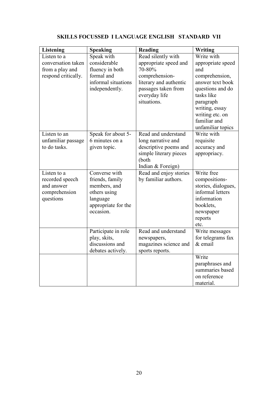|                                                                                                                                  |                                                                                                                                                                                                                                                                                                  |                                                                                                                                                                                                                                                                                                                                                 | <b>Writing</b>                                                                                                                                                                                                                                                                                                                                                                                                                                         |
|----------------------------------------------------------------------------------------------------------------------------------|--------------------------------------------------------------------------------------------------------------------------------------------------------------------------------------------------------------------------------------------------------------------------------------------------|-------------------------------------------------------------------------------------------------------------------------------------------------------------------------------------------------------------------------------------------------------------------------------------------------------------------------------------------------|--------------------------------------------------------------------------------------------------------------------------------------------------------------------------------------------------------------------------------------------------------------------------------------------------------------------------------------------------------------------------------------------------------------------------------------------------------|
| Listen to a                                                                                                                      | Speak with                                                                                                                                                                                                                                                                                       | Read silently with                                                                                                                                                                                                                                                                                                                              | Write with                                                                                                                                                                                                                                                                                                                                                                                                                                             |
| conversation taken                                                                                                               | considerable                                                                                                                                                                                                                                                                                     | appropriate speed and                                                                                                                                                                                                                                                                                                                           | appropriate speed                                                                                                                                                                                                                                                                                                                                                                                                                                      |
| from a play and                                                                                                                  | fluency in both                                                                                                                                                                                                                                                                                  | 70-80%                                                                                                                                                                                                                                                                                                                                          | and                                                                                                                                                                                                                                                                                                                                                                                                                                                    |
| respond critically.                                                                                                              | formal and                                                                                                                                                                                                                                                                                       | comprehension-                                                                                                                                                                                                                                                                                                                                  | comprehension,                                                                                                                                                                                                                                                                                                                                                                                                                                         |
|                                                                                                                                  |                                                                                                                                                                                                                                                                                                  |                                                                                                                                                                                                                                                                                                                                                 |                                                                                                                                                                                                                                                                                                                                                                                                                                                        |
|                                                                                                                                  |                                                                                                                                                                                                                                                                                                  |                                                                                                                                                                                                                                                                                                                                                 | questions and do                                                                                                                                                                                                                                                                                                                                                                                                                                       |
|                                                                                                                                  |                                                                                                                                                                                                                                                                                                  |                                                                                                                                                                                                                                                                                                                                                 |                                                                                                                                                                                                                                                                                                                                                                                                                                                        |
|                                                                                                                                  |                                                                                                                                                                                                                                                                                                  |                                                                                                                                                                                                                                                                                                                                                 |                                                                                                                                                                                                                                                                                                                                                                                                                                                        |
|                                                                                                                                  |                                                                                                                                                                                                                                                                                                  |                                                                                                                                                                                                                                                                                                                                                 |                                                                                                                                                                                                                                                                                                                                                                                                                                                        |
|                                                                                                                                  |                                                                                                                                                                                                                                                                                                  |                                                                                                                                                                                                                                                                                                                                                 |                                                                                                                                                                                                                                                                                                                                                                                                                                                        |
|                                                                                                                                  |                                                                                                                                                                                                                                                                                                  |                                                                                                                                                                                                                                                                                                                                                 |                                                                                                                                                                                                                                                                                                                                                                                                                                                        |
|                                                                                                                                  |                                                                                                                                                                                                                                                                                                  |                                                                                                                                                                                                                                                                                                                                                 |                                                                                                                                                                                                                                                                                                                                                                                                                                                        |
|                                                                                                                                  |                                                                                                                                                                                                                                                                                                  |                                                                                                                                                                                                                                                                                                                                                 |                                                                                                                                                                                                                                                                                                                                                                                                                                                        |
|                                                                                                                                  |                                                                                                                                                                                                                                                                                                  |                                                                                                                                                                                                                                                                                                                                                 |                                                                                                                                                                                                                                                                                                                                                                                                                                                        |
|                                                                                                                                  |                                                                                                                                                                                                                                                                                                  |                                                                                                                                                                                                                                                                                                                                                 |                                                                                                                                                                                                                                                                                                                                                                                                                                                        |
|                                                                                                                                  |                                                                                                                                                                                                                                                                                                  |                                                                                                                                                                                                                                                                                                                                                 |                                                                                                                                                                                                                                                                                                                                                                                                                                                        |
|                                                                                                                                  |                                                                                                                                                                                                                                                                                                  |                                                                                                                                                                                                                                                                                                                                                 |                                                                                                                                                                                                                                                                                                                                                                                                                                                        |
|                                                                                                                                  |                                                                                                                                                                                                                                                                                                  |                                                                                                                                                                                                                                                                                                                                                 |                                                                                                                                                                                                                                                                                                                                                                                                                                                        |
|                                                                                                                                  |                                                                                                                                                                                                                                                                                                  |                                                                                                                                                                                                                                                                                                                                                 |                                                                                                                                                                                                                                                                                                                                                                                                                                                        |
|                                                                                                                                  |                                                                                                                                                                                                                                                                                                  |                                                                                                                                                                                                                                                                                                                                                 |                                                                                                                                                                                                                                                                                                                                                                                                                                                        |
|                                                                                                                                  |                                                                                                                                                                                                                                                                                                  |                                                                                                                                                                                                                                                                                                                                                 |                                                                                                                                                                                                                                                                                                                                                                                                                                                        |
|                                                                                                                                  |                                                                                                                                                                                                                                                                                                  |                                                                                                                                                                                                                                                                                                                                                 |                                                                                                                                                                                                                                                                                                                                                                                                                                                        |
|                                                                                                                                  |                                                                                                                                                                                                                                                                                                  |                                                                                                                                                                                                                                                                                                                                                 |                                                                                                                                                                                                                                                                                                                                                                                                                                                        |
|                                                                                                                                  |                                                                                                                                                                                                                                                                                                  |                                                                                                                                                                                                                                                                                                                                                 |                                                                                                                                                                                                                                                                                                                                                                                                                                                        |
|                                                                                                                                  |                                                                                                                                                                                                                                                                                                  |                                                                                                                                                                                                                                                                                                                                                 |                                                                                                                                                                                                                                                                                                                                                                                                                                                        |
|                                                                                                                                  |                                                                                                                                                                                                                                                                                                  |                                                                                                                                                                                                                                                                                                                                                 |                                                                                                                                                                                                                                                                                                                                                                                                                                                        |
|                                                                                                                                  |                                                                                                                                                                                                                                                                                                  |                                                                                                                                                                                                                                                                                                                                                 |                                                                                                                                                                                                                                                                                                                                                                                                                                                        |
|                                                                                                                                  |                                                                                                                                                                                                                                                                                                  |                                                                                                                                                                                                                                                                                                                                                 |                                                                                                                                                                                                                                                                                                                                                                                                                                                        |
|                                                                                                                                  |                                                                                                                                                                                                                                                                                                  |                                                                                                                                                                                                                                                                                                                                                 |                                                                                                                                                                                                                                                                                                                                                                                                                                                        |
|                                                                                                                                  |                                                                                                                                                                                                                                                                                                  |                                                                                                                                                                                                                                                                                                                                                 |                                                                                                                                                                                                                                                                                                                                                                                                                                                        |
|                                                                                                                                  |                                                                                                                                                                                                                                                                                                  |                                                                                                                                                                                                                                                                                                                                                 |                                                                                                                                                                                                                                                                                                                                                                                                                                                        |
|                                                                                                                                  |                                                                                                                                                                                                                                                                                                  |                                                                                                                                                                                                                                                                                                                                                 |                                                                                                                                                                                                                                                                                                                                                                                                                                                        |
|                                                                                                                                  |                                                                                                                                                                                                                                                                                                  |                                                                                                                                                                                                                                                                                                                                                 |                                                                                                                                                                                                                                                                                                                                                                                                                                                        |
|                                                                                                                                  |                                                                                                                                                                                                                                                                                                  |                                                                                                                                                                                                                                                                                                                                                 |                                                                                                                                                                                                                                                                                                                                                                                                                                                        |
|                                                                                                                                  |                                                                                                                                                                                                                                                                                                  |                                                                                                                                                                                                                                                                                                                                                 |                                                                                                                                                                                                                                                                                                                                                                                                                                                        |
| Listen to an<br>unfamiliar passage<br>to do tasks.<br>Listen to a<br>recorded speech<br>and answer<br>comprehension<br>questions | informal situations<br>independently.<br>Speak for about 5-<br>6 minutes on a<br>given topic.<br>Converse with<br>friends, family<br>members, and<br>others using<br>language<br>appropriate for the<br>occasion.<br>Participate in role<br>play, skits,<br>discussions and<br>debates actively. | literary and authentic<br>passages taken from<br>everyday life<br>situations.<br>Read and understand<br>long narrative and<br>descriptive poems and<br>simple literary pieces<br>(both<br>Indian & Foreign)<br>Read and enjoy stories<br>by familiar authors.<br>Read and understand<br>newspapers,<br>magazines science and<br>sports reports. | answer text book<br>tasks like<br>paragraph<br>writing, essay<br>writing etc. on<br>familiar and<br>unfamiliar topics<br>Write with<br>requisite<br>accuracy and<br>appropriacy.<br>Write free<br>compositions-<br>stories, dialogues,<br>informal letters<br>information<br>booklets,<br>newspaper<br>reports<br>etc.<br>Write messages<br>for telegrams fax<br>$&$ email<br>Write<br>paraphrases and<br>summaries based<br>on reference<br>material. |

## **SKILLS FOCUSSED I LANGUAGE ENGLISH STANDARD VII**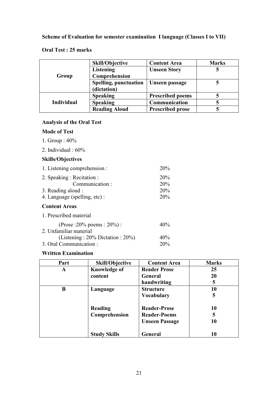## **Scheme of Evaluation for semester examination I language (Classes I to VII)**

## **Oral Test : 25 marks**

|                   | <b>Skill/Objective</b>       | <b>Content Area</b>     | <b>Marks</b> |
|-------------------|------------------------------|-------------------------|--------------|
|                   | <b>Listening</b>             | <b>Unseen Story</b>     |              |
| Group             | Comprehension                |                         |              |
|                   | <b>Spelling, punctuation</b> | Unseen passage          |              |
|                   | (dictation)                  |                         |              |
|                   | <b>Speaking</b>              | <b>Prescribed poems</b> |              |
| <b>Individual</b> | <b>Speaking</b>              | Communication           |              |
|                   | <b>Reading Aloud</b>         | <b>Prescribed prose</b> |              |

## **Analysis of the Oral Test**

## **Mode of Test**

- 1. Group : 40%
- 2. Individual : 60%

## **Skills/Objectives**

| 1. Listening comprehension :             | 20%        |
|------------------------------------------|------------|
| 2. Speaking: Recitation:                 | 20%        |
| Communication:                           | 20%        |
| 3. Reading aloud :                       | 20%        |
| 4. Language (spelling, etc):             | 20%        |
| <b>Content Areas</b>                     |            |
| 1. Prescribed material                   |            |
| (Prose : 20% poems : 20%) :              | 40%        |
| 2. Unfamiliar material                   |            |
| (Listening : $20\%$ Dictation : $20\%$ ) | 40%        |
| 3. Oral Communication:                   | <b>20%</b> |

## **Written Examination**

| Part | <b>Skill/Objective</b>   | <b>Content Area</b>                        | <b>Marks</b> |
|------|--------------------------|--------------------------------------------|--------------|
| A    | <b>Knowledge of</b>      | <b>Reader Prose</b>                        | 25           |
|      | content                  | General                                    | 20           |
|      |                          | handwriting                                | 5            |
| B    | Language                 | <b>Structure</b>                           | 10           |
|      |                          | <b>Vocabulary</b>                          | 5            |
|      | Reading<br>Comprehension | <b>Reader-Prose</b><br><b>Reader-Poems</b> | 10<br>5      |
|      |                          | <b>Unseen Passage</b>                      | 10           |
|      | <b>Study Skills</b>      | General                                    | 10           |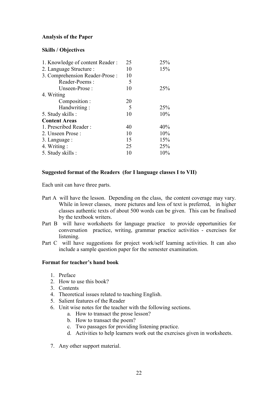## **Analysis of the Paper**

### **Skills / Objectives**

| 1. Knowledge of content Reader: | 25 | 25% |
|---------------------------------|----|-----|
| 2. Language Structure :         | 10 | 15% |
| 3. Comprehension Reader-Prose:  | 10 |     |
| Reader-Poems:                   | 5  |     |
| Unseen-Prose:                   | 10 | 25% |
| 4. Writing                      |    |     |
| Composition :                   | 20 |     |
| Handwriting:                    | 5  | 25% |
| 5. Study skills :               | 10 | 10% |
| <b>Content Areas</b>            |    |     |
| 1. Prescribed Reader:           | 40 | 40% |
| 2. Unseen Prose:                | 10 | 10% |
| 3. Language :                   | 15 | 15% |
| 4. Writing :                    | 25 | 25% |
| 5. Study skills :               | 10 | 10% |
|                                 |    |     |

## **Suggested format of the Readers (for I language classes I to VII)**

Each unit can have three parts.

- Part A will have the lesson. Depending on the class, the content coverage may vary. While in lower classes, more pictures and less of text is preferred, in higher classes authentic texts of about 500 words can be given. This can be finalised by the textbook writers.
- Part B will have worksheets for language practice to provide opportunities for conversation practice, writing, grammar practice activities - exercises for listening.
- Part C will have suggestions for project work/self learning activities. It can also include a sample question paper for the semester examination.

### **Format for teacher's hand book**

- 1. Preface
- 2. How to use this book?
- 3. Contents
- 4. Theoretical issues related to teaching English.
- 5. Salient features of the Reader
- 6. Unit wise notes for the teacher with the following sections.
	- a. How to transact the prose lesson?
	- b. How to transact the poem?
	- c. Two passages for providing listening practice.
	- d. Activities to help learners work out the exercises given in worksheets.
- 7. Any other support material.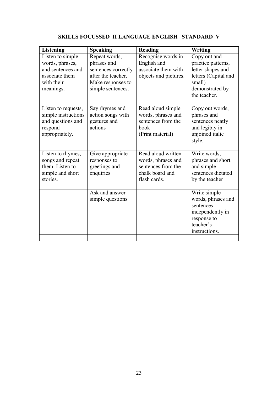| <b>Listening</b>                                                                                      | <b>Speaking</b>                                                                                                     | Reading                                                                                           | Writing                                                                                                                      |
|-------------------------------------------------------------------------------------------------------|---------------------------------------------------------------------------------------------------------------------|---------------------------------------------------------------------------------------------------|------------------------------------------------------------------------------------------------------------------------------|
| Listen to simple<br>words, phrases,<br>and sentences and<br>associate them<br>with their<br>meanings. | Repeat words,<br>phrases and<br>sentences correctly<br>after the teacher.<br>Make responses to<br>simple sentences. | Recognise words in<br>English and<br>associate them with<br>objects and pictures.                 | Copy out and<br>practice patterns,<br>letter shapes and<br>letters (Capital and<br>small)<br>demonstrated by<br>the teacher. |
| Listen to requests,<br>simple instructions<br>and questions and<br>respond<br>appropriately.          | Say rhymes and<br>action songs with<br>gestures and<br>actions                                                      | Read aloud simple<br>words, phrases and<br>sentences from the<br>book<br>(Print material)         | Copy out words,<br>phrases and<br>sentences neatly<br>and legibly in<br>unjoined italic<br>style.                            |
| Listen to rhymes,<br>songs and repeat<br>them. Listen to<br>simple and short<br>stories.              | Give appropriate<br>responses to<br>greetings and<br>enquiries                                                      | Read aloud written<br>words, phrases and<br>sentences from the<br>chalk board and<br>flash cards. | Write words,<br>phrases and short<br>and simple<br>sentences dictated<br>by the teacher                                      |
|                                                                                                       | Ask and answer<br>simple questions                                                                                  |                                                                                                   | Write simple<br>words, phrases and<br>sentences<br>independently in<br>response to<br>teacher's<br>instructions.             |

## **SKILLS FOCUSSED II LANGUAGE ENGLISH STANDARD V**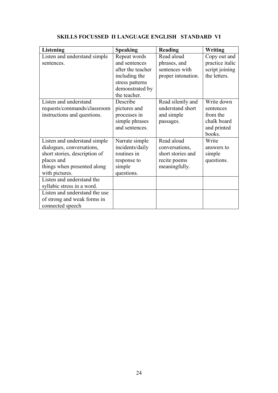| <b>Listening</b>                                            | <b>Speaking</b>                | <b>Reading</b>                      | Writing         |
|-------------------------------------------------------------|--------------------------------|-------------------------------------|-----------------|
| Listen and understand simple                                | Repeat words                   | Read aloud                          | Copy out and    |
| sentences.                                                  | and sentences                  | phrases, and                        | practice italic |
|                                                             | after the teacher              | sentences with                      | script joining  |
|                                                             | including the                  | proper intonation.                  | the letters.    |
|                                                             | stress patterns                |                                     |                 |
|                                                             | demonstrated by                |                                     |                 |
|                                                             | the teacher.                   |                                     |                 |
| Listen and understand                                       | Describe                       | Read silently and                   | Write down      |
| requests/commands/classroom                                 | pictures and                   | understand short                    | sentences       |
| instructions and questions.                                 | processes in                   | and simple                          | from the        |
|                                                             | simple phrases                 | passages.                           | chalk board     |
|                                                             | and sentences.                 |                                     | and printed     |
|                                                             |                                | Read aloud                          | books.          |
| Listen and understand simple                                | Narrate simple                 |                                     | Write           |
| dialogues, conversations,                                   | incidents/daily<br>routines in | conversations,<br>short stories and | answers to      |
| short stories, description of<br>places and                 |                                |                                     | simple          |
| things when presented along                                 | response to<br>simple          | recite poems                        | questions.      |
| with pictures.                                              | questions.                     | meaningfully.                       |                 |
| Listen and understand the                                   |                                |                                     |                 |
|                                                             |                                |                                     |                 |
| syllabic stress in a word.<br>Listen and understand the use |                                |                                     |                 |
|                                                             |                                |                                     |                 |
| of strong and weak forms in                                 |                                |                                     |                 |
| connected speech                                            |                                |                                     |                 |

## **SKILLS FOCUSSED II LANGUAGE ENGLISH STANDARD VI**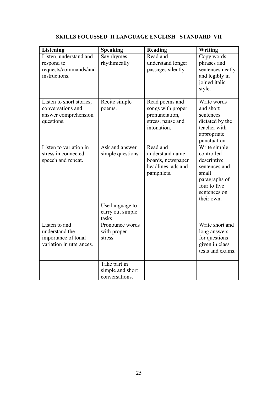## **SKILLS FOCUSSED II LANGUAGE ENGLISH STANDARD VII**

| <b>Listening</b>                                                                        | <b>Speaking</b>                                    | <b>Reading</b>                                                                            | Writing                                                                                                                            |
|-----------------------------------------------------------------------------------------|----------------------------------------------------|-------------------------------------------------------------------------------------------|------------------------------------------------------------------------------------------------------------------------------------|
| Listen, understand and<br>respond to<br>requests/commands/and<br>instructions.          | Say rhymes<br>rhythmically                         | Read and<br>understand longer<br>passages silently.                                       | Copy words,<br>phrases and<br>sentences neatly<br>and legibly in<br>joined italic<br>style.                                        |
| Listen to short stories,<br>conversations and<br>answer comprehension<br>questions.     | Recite simple<br>poems.                            | Read poems and<br>songs with proper<br>pronunciation,<br>stress, pause and<br>intonation. | Write words<br>and short<br>sentences<br>dictated by the<br>teacher with<br>appropriate<br>punctuation.                            |
| Listen to variation $\overline{\text{in}}$<br>stress in connected<br>speech and repeat. | Ask and answer<br>simple questions                 | Read and<br>understand name<br>boards, newspaper<br>headlines, ads and<br>pamphlets.      | Write simple<br>controlled<br>descriptive<br>sentences and<br>small<br>paragraphs of<br>four to five<br>sentences on<br>their own. |
|                                                                                         | Use language to<br>carry out simple<br>tasks       |                                                                                           |                                                                                                                                    |
| Listen to and<br>understand the<br>importance of tonal<br>variation in utterances.      | Pronounce words<br>with proper<br>stress.          |                                                                                           | Write short and<br>long answers<br>for questions<br>given in class<br>tests and exams.                                             |
|                                                                                         | Take part in<br>simple and short<br>conversations. |                                                                                           |                                                                                                                                    |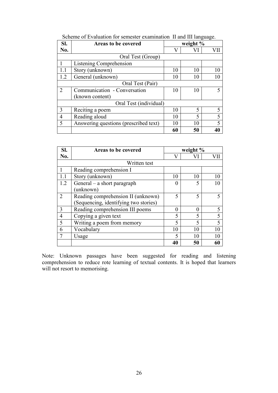| SI. | Areas to be covered                   | weight $%$ |    |                          |
|-----|---------------------------------------|------------|----|--------------------------|
| No. |                                       | V          |    |                          |
|     | Oral Test (Group)                     |            |    |                          |
|     | Listening Comprehension               |            |    |                          |
| 1.1 | Story (unknown)                       | 10         | 10 | 10                       |
| 1.2 | General (unknown)                     | 10<br>10   |    |                          |
|     | Oral Test (Pair)                      |            |    |                          |
| 2   | Communication - Conversation          | 10         | 10 |                          |
|     | (known content)                       |            |    |                          |
|     | Oral Test (individual)                |            |    |                          |
| 3   | Reciting a poem                       | 10         | 5  |                          |
| 4   | Reading aloud                         | 10         | 5  | 5                        |
| 5   | Answering questions (prescribed text) | 10         | 10 | $\overline{\mathcal{L}}$ |
|     |                                       | 60         | 50 |                          |

| Scheme of Evaluation for semester examination II and III language. |  |  |  |  |
|--------------------------------------------------------------------|--|--|--|--|
|--------------------------------------------------------------------|--|--|--|--|

| SI. | <b>Areas to be covered</b>            | weight % |    |    |
|-----|---------------------------------------|----------|----|----|
| No. |                                       | V        |    |    |
|     | Written test                          |          |    |    |
|     | Reading comprehension I               |          |    |    |
|     | Story (unknown)                       | 10       | 10 | 10 |
| 1.2 | General – a short paragraph           | $\Omega$ |    | 10 |
|     | (unknown)                             |          |    |    |
| 2   | Reading comprehension II (unknown)    | 5        | 5  |    |
|     | (Sequencing, identifying two stories) |          |    |    |
| 3   | Reading comprehension III poems       | $\theta$ |    | 5  |
| 4   | Copying a given text                  | 5        |    | 5  |
| 5   | Writing a poem from memory            | 5        |    | 5  |
| 6   | Vocabulary                            | 10       | 10 | 10 |
|     | Usage                                 | 5        | 10 | 10 |
|     |                                       | 40       | 50 | 60 |

Note: Unknown passages have been suggested for reading and listening comprehension to reduce rote learning of textual contents. It is hoped that learners will not resort to memorising.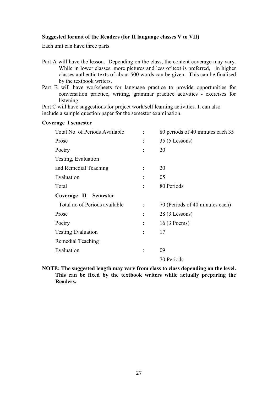## **Suggested format of the Readers (for II language classes V to VII)**

Each unit can have three parts.

**Coverage I semester**

- Part A will have the lesson. Depending on the class, the content coverage may vary. While in lower classes, more pictures and less of text is preferred, in higher classes authentic texts of about 500 words can be given. This can be finalised by the textbook writers.
- Part B will have worksheets for language practice to provide opportunities for conversation practice, writing, grammar practice activities - exercises for listening.

Part C will have suggestions for project work/self learning activities. It can also include a sample question paper for the semester examination.

| Total No. of Periods Available |                | 80 periods of 40 minutes each 35 |
|--------------------------------|----------------|----------------------------------|
| Prose                          |                | $35(5$ Lessons)                  |
| Poetry                         |                | 20                               |
| Testing, Evaluation            |                |                                  |
| and Remedial Teaching          |                | 20                               |
| Evaluation                     | $\ddot{\cdot}$ | 05                               |
| Total                          |                | 80 Periods                       |
| Coverage II Semester           |                |                                  |
| Total no of Periods available  |                | 70 (Periods of 40 minutes each)  |
| Prose                          | $\ddot{\cdot}$ | $28(3$ Lessons)                  |
| Poetry                         | $\ddot{\cdot}$ | 16 (3 Poems)                     |
| <b>Testing Evaluation</b>      | ÷              | 17                               |
| Remedial Teaching              |                |                                  |
| Evaluation                     |                | 09                               |
|                                |                | 70 Periods                       |

**NOTE: The suggested length may vary from class to class depending on the level. This can be fixed by the textbook writers while actually preparing the Readers.**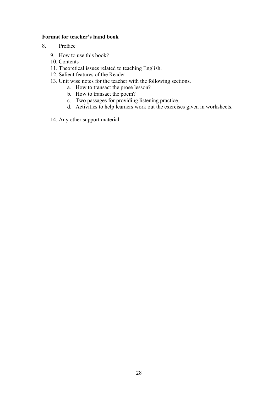### **Format for teacher's hand book**

- 8. Preface
	- 9. How to use this book?
	- 10. Contents
	- 11. Theoretical issues related to teaching English.
	- 12. Salient features of the Reader
	- 13. Unit wise notes for the teacher with the following sections.
		- a. How to transact the prose lesson?
			- b. How to transact the poem?
			- c. Two passages for providing listening practice.
			- d. Activities to help learners work out the exercises given in worksheets.
	- 14. Any other support material.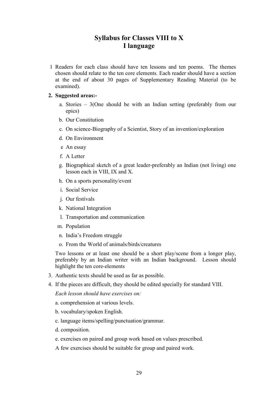## **Syllabus for Classes VIII to X I language**

 1 Readers for each class should have ten lessons and ten poems. The themes chosen should relate to the ten core elements. Each reader should have a section at the end of about 30 pages of Supplementary Reading Material (to be examined).

#### **2. Suggested areas:-**

- a. Stories 3(One should be with an Indian setting (preferably from our epics)
- b. Our Constitution
- c. On science-Biography of a Scientist, Story of an invention/exploration
- d. On Environment
- e An essay
- f. A Letter
- g. Biographical sketch of a great leader-preferably an Indian (not living) one lesson each in VIII, IX and X.
- h. On a sports personality/event
- i. Social Service
- j. Our festivals
- k. National Integration
- l. Transportation and communication
- m. Population
- n. India's Freedom struggle
- o. From the World of animals/birds/creatures

 Two lessons or at least one should be a short play/scene from a longer play, preferably by an Indian writer with an Indian background. Lesson should highlight the ten core-elements

- 3. Authentic texts should be used as far as possible.
- 4. If the pieces are difficult, they should be edited specially for standard VIII.

#### *Each lesson should have exercises on:*

- a. comprehension at various levels.
- b. vocabulary/spoken English.
- c. language items/spelling/punctuation/grammar.
- d. composition.
- e. exercises on paired and group work based on values prescribed.
- A few exercises should be suitable for group and paired work.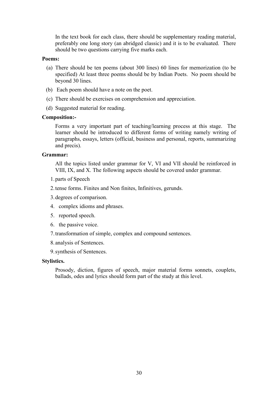In the text book for each class, there should be supplementary reading material, preferably one long story (an abridged classic) and it is to be evaluated. There should be two questions carrying five marks each.

### **Poems:**

- (a) There should be ten poems (about 300 lines) 60 lines for memorization (to be specified) At least three poems should be by Indian Poets. No poem should be beyond 30 lines.
- (b) Each poem should have a note on the poet.
- (c) There should be exercises on comprehension and appreciation.
- (d) Suggested material for reading.

#### **Composition:-**

 Forms a very important part of teaching/learning process at this stage. The learner should be introduced to different forms of writing namely writing of paragraphs, essays, letters (official, business and personal, reports, summarizing and precis).

### **Grammar:**

 All the topics listed under grammar for V, VI and VII should be reinforced in VIII, IX, and X. The following aspects should be covered under grammar.

- 1.parts of Speech
- 2.tense forms. Finites and Non finites, Infinitives, gerunds.
- 3.degrees of comparison.
- 4. complex idioms and phrases.
- 5. reported speech.
- 6. the passive voice.
- 7.transformation of simple, complex and compound sentences.
- 8.analysis of Sentences.
- 9.synthesis of Sentences.

#### **Stylistics.**

 Prosody, diction, figures of speech, major material forms sonnets, couplets, ballads, odes and lyrics should form part of the study at this level.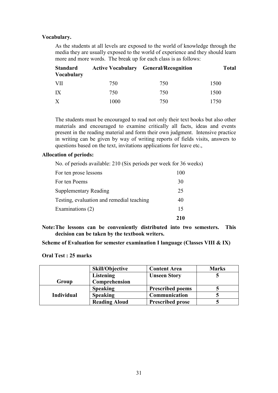### **Vocabulary.**

 As the students at all levels are exposed to the world of knowledge through the media they are usually exposed to the world of experience and they should learn more and more words. The break up for each class is as follows:

| <b>Standard</b><br><b>Vocabulary</b> |      | <b>Active Vocabulary General/Recognition</b> | <b>Total</b> |
|--------------------------------------|------|----------------------------------------------|--------------|
| VII                                  | 750  | 750                                          | 1500         |
| IX                                   | 750  | 750                                          | 1500         |
| X                                    | 1000 | 750                                          | 1750         |

 The students must be encouraged to read not only their text books but also other materials and encouraged to examine critically all facts, ideas and events present in the reading material and form their own judgment. Intensive practice in writing can be given by way of writing reports of fields visits, answers to questions based on the text, invitations applications for leave etc.,

#### **Allocation of periods:**

| No. of periods available: 210 (Six periods per week for 36 weeks) |  |  |
|-------------------------------------------------------------------|--|--|
|                                                                   |  |  |

| For ten prose lessons                     |     |
|-------------------------------------------|-----|
| For ten Poems                             | 30  |
| <b>Supplementary Reading</b>              | 25  |
| Testing, evaluation and remedial teaching | 40  |
| Examinations (2)                          | 15  |
|                                           | 210 |

**Note: The lessons can be conveniently distributed into two semesters. This decision can be taken by the textbook writers.** 

**Scheme of Evaluation for semester examination I language (Classes VIII & IX)** 

#### **Oral Test : 25 marks**

|                   | <b>Skill/Objective</b> | <b>Content Area</b>     | <b>Marks</b> |
|-------------------|------------------------|-------------------------|--------------|
|                   | <b>Listening</b>       | <b>Unseen Story</b>     |              |
| Group             | Comprehension          |                         |              |
|                   | <b>Speaking</b>        | <b>Prescribed poems</b> |              |
| <b>Individual</b> | <b>Speaking</b>        | Communication           |              |
|                   | <b>Reading Aloud</b>   | <b>Prescribed prose</b> |              |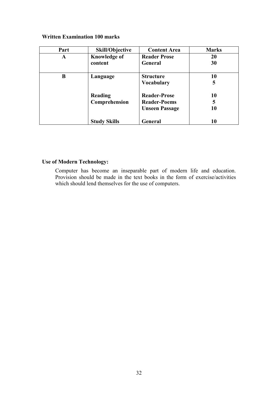## **Written Examination 100 marks**

| Part | Skill/Objective     | <b>Content Area</b>   | <b>Marks</b> |
|------|---------------------|-----------------------|--------------|
| A    | <b>Knowledge of</b> | <b>Reader Prose</b>   | 20           |
|      | content             | General               | 30           |
| B    | Language            | <b>Structure</b>      | 10           |
|      |                     | <b>Vocabulary</b>     | 5            |
|      | Reading             | <b>Reader-Prose</b>   | 10           |
|      | Comprehension       | <b>Reader-Poems</b>   | 5            |
|      |                     | <b>Unseen Passage</b> | 10           |
|      | <b>Study Skills</b> | General               | 10           |

## **Use of Modern Technology:**

 Computer has become an inseparable part of modern life and education. Provision should be made in the text books in the form of exercise/activities which should lend themselves for the use of computers.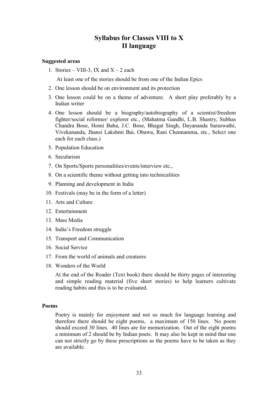## **Syllabus for Classes VIII to X II language**

#### **Suggested areas**

1. Stories – VIII-3, IX and  $X - 2$  each

At least one of the stories should be from one of the Indian Epics

- 2. One lesson should be on environment and its protection
- 3. One lesson could be on a theme of adventure. A short play preferably by a Indian writer
- 4. One lesson should be a biography/autobiography of a scientist/freedom fighter/social reformer/ explorer etc., (Mahatma Gandhi, L.B. Shastry, Subhas Chandra Bose, Homi Baba, J.C. Bose, Bhagat Singh, Dayananda Saraswathi, Vivekananda, Jhansi Lakshmi Bai, Obawa, Rani Chennamma, etc., Select one each for each class.)
- 5. Population Education
- 6. Secularism
- 7. On Sports/Sports personalities/events/interview etc.,
- 8. On a scientific theme without getting into technicalities
- 9. Planning and development in India
- 10. Festivals (may be in the form of a letter)
- 11. Arts and Culture
- 12. Entertainment
- 13. Mass Media
- 14. India's Freedom struggle
- 15. Transport and Communication
- 16. Social Service
- 17. From the world of animals and creatures
- 18. Wonders of the World

 At the end of the Reader (Text book) there should be thirty pages of interesting and simple reading material (five short stories) to help learners cultivate reading habits and this is to be evaluated.

#### **Poems**

 Poetry is mainly for enjoyment and not so much for language learning and therefore there should be eight poems, a maximum of 150 lines. No poem should exceed 30 lines. 40 lines are for memorization. Out of the eight poems a minimum of 2 should be by Indian poets. It may also be kept in mind that one can not strictly go by these prescriptions as the poems have to be taken as they are available.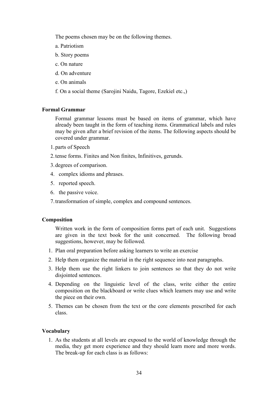The poems chosen may be on the following themes.

- a. Patriotism
- b. Story poems
- c. On nature
- d. On adventure
- e. On animals
- f. On a social theme (Sarojini Naidu, Tagore, Ezekiel etc.,)

### **Formal Grammar**

 Formal grammar lessons must be based on items of grammar, which have already been taught in the form of teaching items. Grammatical labels and rules may be given after a brief revision of the items. The following aspects should be covered under grammar.

- 1.parts of Speech
- 2.tense forms. Finites and Non finites, Infinitives, gerunds.
- 3.degrees of comparison.
- 4. complex idioms and phrases.
- 5. reported speech.
- 6. the passive voice.
- 7.transformation of simple, complex and compound sentences.

### **Composition**

Written work in the form of composition forms part of each unit. Suggestions are given in the text book for the unit concerned. The following broad suggestions, however, may be followed.

- 1. Plan oral preparation before asking learners to write an exercise
- 2. Help them organize the material in the right sequence into neat paragraphs.
- 3. Help them use the right linkers to join sentences so that they do not write disjointed sentences.
- 4. Depending on the linguistic level of the class, write either the entire composition on the blackboard or write clues which learners may use and write the piece on their own.
- 5. Themes can be chosen from the text or the core elements prescribed for each class.

### **Vocabulary**

 1. As the students at all levels are exposed to the world of knowledge through the media, they get more experience and they should learn more and more words. The break-up for each class is as follows: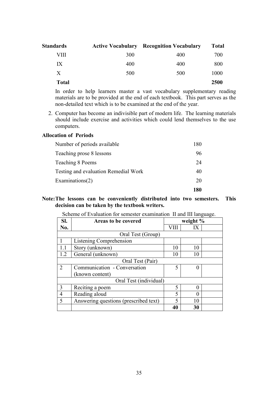| Standards    |     | <b>Active Vocabulary Recognition Vocabulary</b> | <b>Total</b> |
|--------------|-----|-------------------------------------------------|--------------|
| VIII         | 300 | 400                                             | 700          |
| IX           | 400 | 400                                             | 800          |
| X            | 500 | 500                                             | 1000         |
| <b>Total</b> |     |                                                 | 2500         |

 In order to help learners master a vast vocabulary supplementary reading materials are to be provided at the end of each textbook. This part serves as the non-detailed text which is to be examined at the end of the year.

 2. Computer has become an indivisible part of modern life. The learning materials should include exercise and activities which could lend themselves to the use computers.

#### **Allocation of Periods**

| Number of periods available          | 180  |
|--------------------------------------|------|
| Teaching prose 8 lessons             | 96   |
| Teaching 8 Poems                     | 24   |
| Testing and evaluation Remedial Work | 40   |
| Examinations(2)                      | 20   |
|                                      | 1 RD |

## **Note: The lessons can be conveniently distributed into two semesters. This decision can be taken by the textbook writers.**

| Sl.                      | <b>Areas to be covered</b>            | weight $%$ |    |  |
|--------------------------|---------------------------------------|------------|----|--|
| No.                      |                                       |            | IX |  |
|                          | Oral Test (Group)                     |            |    |  |
|                          | Listening Comprehension               |            |    |  |
| 1.1                      | Story (unknown)                       | 10         | 10 |  |
| 1.2                      | General (unknown)                     | 10         | 10 |  |
| Oral Test (Pair)         |                                       |            |    |  |
| 2                        | Communication - Conversation          | 5          |    |  |
|                          | (known content)                       |            |    |  |
| Oral Test (individual)   |                                       |            |    |  |
| 3                        | Reciting a poem                       | 5          |    |  |
| 4                        | Reading aloud                         | 5          |    |  |
| $\overline{\mathcal{L}}$ | Answering questions (prescribed text) | 5          | 10 |  |
|                          |                                       | 40         | 30 |  |

### Scheme of Evaluation for semester examination II and III language.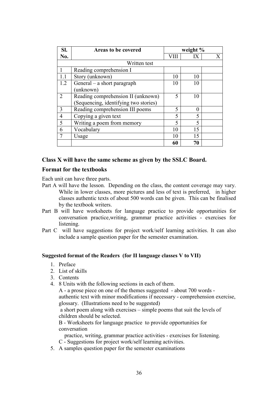| SI.            | Areas to be covered                   | weight % |             |  |
|----------------|---------------------------------------|----------|-------------|--|
| No.            |                                       | VIII     | IX          |  |
|                | Written test                          |          |             |  |
|                | Reading comprehension I               |          |             |  |
| 1.1            | Story (unknown)                       | 10       | 10          |  |
| 1.2            | General – a short paragraph           | 10       | 10          |  |
|                | (unknown)                             |          |             |  |
| $\overline{2}$ | Reading comprehension II (unknown)    | 5        | 10          |  |
|                | (Sequencing, identifying two stories) |          |             |  |
| 3              | Reading comprehension III poems       | 5        | 0           |  |
| $\overline{4}$ | Copying a given text                  | 5        | 5           |  |
| 5              | Writing a poem from memory            | 5        | $\varsigma$ |  |
| 6              | Vocabulary                            | 10       | 15          |  |
| 7              | Usage                                 | 10       | 15          |  |
|                |                                       | 60       | 70          |  |

### **Class X will have the same scheme as given by the SSLC Board.**

### **Format for the textbooks**

Each unit can have three parts.

- Part A will have the lesson. Depending on the class, the content coverage may vary. While in lower classes, more pictures and less of text is preferred, in higher classes authentic texts of about 500 words can be given. This can be finalised by the textbook writers.
- Part B will have worksheets for language practice to provide opportunities for conversation practice,writing, grammar practice activities - exercises for listening.
- Part C will have suggestions for project work/self learning activities. It can also include a sample question paper for the semester examination.

### **Suggested format of the Readers (for II language classes V to VII)**

- 1. Preface
- 2. List of skills
- 3. Contents
- 4. 8 Units with the following sections in each of them.

A - a prose piece on one of the themes suggested - about 700 words authentic text with minor modifications if necessary - comprehension exercise, glossary. (Illustrations need to be suggested)

 a short poem along with exercises – simple poems that suit the levels of children should be selected.

B - Worksheets for language practice to provide opportunities for conversation

practice, writing, grammar practice activities - exercises for listening.

C - Suggestions for project work/self learning activities.

5. A samples question paper for the semester examinations